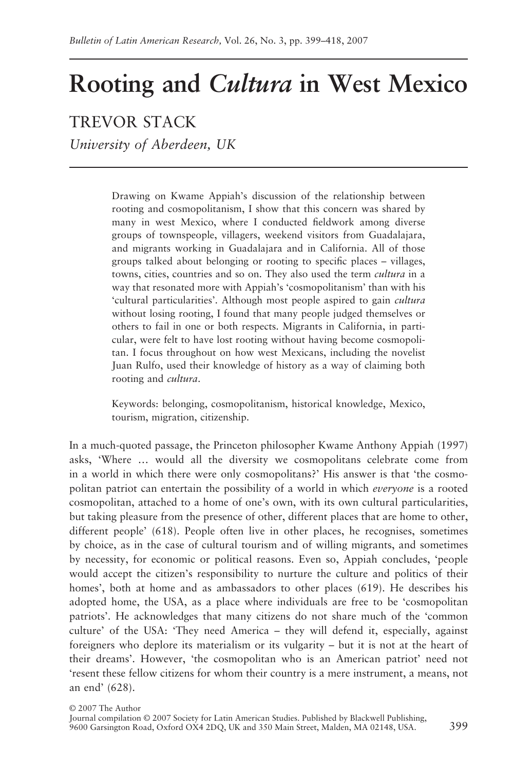# **Rooting and** *Cultura* **in West Mexico**

TREVOR STACK

*University of Aberdeen, UK* 

Drawing on Kwame Appiah's discussion of the relationship between rooting and cosmopolitanism, I show that this concern was shared by many in west Mexico, where I conducted fieldwork among diverse groups of townspeople, villagers, weekend visitors from Guadalajara, and migrants working in Guadalajara and in California. All of those groups talked about belonging or rooting to specific places – villages, towns, cities, countries and so on. They also used the term *cultura* in a way that resonated more with Appiah's 'cosmopolitanism' than with his 'cultural particularities'. Although most people aspired to gain *cultura* without losing rooting, I found that many people judged themselves or others to fail in one or both respects. Migrants in California, in particular, were felt to have lost rooting without having become cosmopolitan. I focus throughout on how west Mexicans, including the novelist Juan Rulfo, used their knowledge of history as a way of claiming both rooting and *cultura*.

Keywords: belonging, cosmopolitanism, historical knowledge, Mexico, tourism, migration, citizenship.

In a much-quoted passage, the Princeton philosopher Kwame Anthony Appiah (1997) asks, 'Where ... would all the diversity we cosmopolitans celebrate come from in a world in which there were only cosmopolitans?' His answer is that 'the cosmopolitan patriot can entertain the possibility of a world in which *everyone* is a rooted cosmopolitan, attached to a home of one's own, with its own cultural particularities, but taking pleasure from the presence of other, different places that are home to other, different people' (618). People often live in other places, he recognises, sometimes by choice, as in the case of cultural tourism and of willing migrants, and sometimes by necessity, for economic or political reasons. Even so, Appiah concludes, 'people would accept the citizen's responsibility to nurture the culture and politics of their homes', both at home and as ambassadors to other places (619). He describes his adopted home, the USA, as a place where individuals are free to be 'cosmopolitan patriots'. He acknowledges that many citizens do not share much of the 'common culture' of the USA: 'They need America – they will defend it, especially, against foreigners who deplore its materialism or its vulgarity – but it is not at the heart of their dreams'. However, 'the cosmopolitan who is an American patriot' need not ' resent these fellow citizens for whom their country is a mere instrument, a means, not an end'  $(628)$ .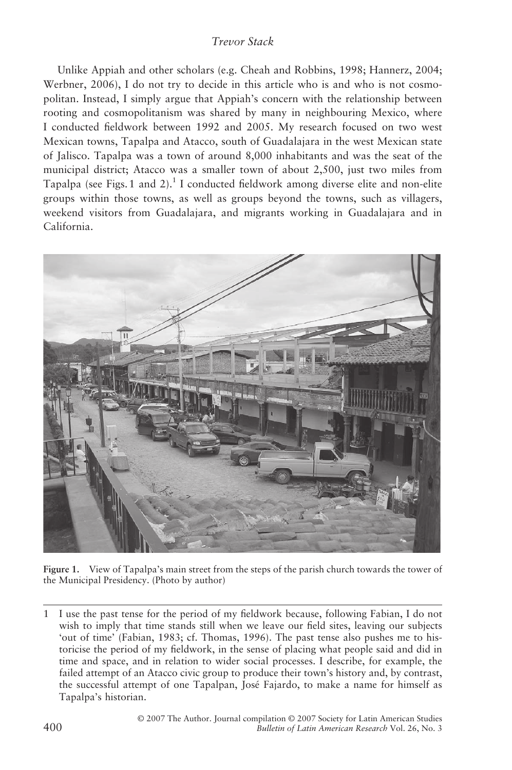Unlike Appiah and other scholars (e.g. Cheah and Robbins, 1998; Hannerz, 2004; Werbner, 2006), I do not try to decide in this article who is and who is not cosmopolitan. Instead, I simply argue that Appiah's concern with the relationship between rooting and cosmopolitanism was shared by many in neighbouring Mexico, where I conducted fieldwork between 1992 and 2005. My research focused on two west Mexican towns, Tapalpa and Atacco, south of Guadalajara in the west Mexican state of Jalisco. Tapalpa was a town of around 8,000 inhabitants and was the seat of the municipal district; Atacco was a smaller town of about 2,500, just two miles from Tapalpa (see Figs. 1 and  $2$ ).<sup>1</sup> I conducted fieldwork among diverse elite and non-elite groups within those towns, as well as groups beyond the towns, such as villagers, weekend visitors from Guadalajara, and migrants working in Guadalajara and in California.



**Figure 1.** View of Tapalpa's main street from the steps of the parish church towards the tower of the Municipal Presidency. (Photo by author)

I use the past tense for the period of my fieldwork because, following Fabian, I do not wish to imply that time stands still when we leave our field sites, leaving our subjects ' out of time' (Fabian, 1983; cf. Thomas, 1996). The past tense also pushes me to historicise the period of my fieldwork, in the sense of placing what people said and did in time and space, and in relation to wider social processes. I describe, for example, the failed attempt of an Atacco civic group to produce their town's history and, by contrast, the successful attempt of one Tapalpan, José Fajardo, to make a name for himself as Tapalpa's historian.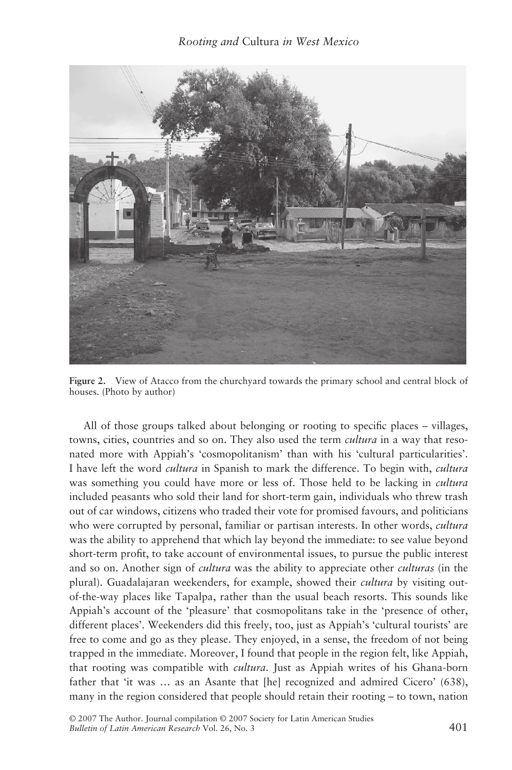

**Figure 2.** View of Atacco from the churchyard towards the primary school and central block of houses. (Photo by author)

All of those groups talked about belonging or rooting to specific places – villages, towns, cities, countries and so on. They also used the term *cultura* in a way that resonated more with Appiah's 'cosmopolitanism' than with his 'cultural particularities'. I have left the word *cultura* in Spanish to mark the difference. To begin with, *cultura* was something you could have more or less of. Those held to be lacking in *cultura* included peasants who sold their land for short-term gain, individuals who threw trash out of car windows, citizens who traded their vote for promised favours, and politicians who were corrupted by personal, familiar or partisan interests. In other words, *cultura* was the ability to apprehend that which lay beyond the immediate: to see value beyond short-term profit, to take account of environmental issues, to pursue the public interest and so on. Another sign of *cultura* was the ability to appreciate other *culturas* (in the plural). Guadalajaran weekenders, for example, showed their *cultura* by visiting outof-the-way places like Tapalpa, rather than the usual beach resorts. This sounds like Appiah's account of the 'pleasure' that cosmopolitans take in the 'presence of other, different places'. Weekenders did this freely, too, just as Appiah's 'cultural tourists' are free to come and go as they please. They enjoyed, in a sense, the freedom of not being trapped in the immediate. Moreover, I found that people in the region felt, like Appiah, that rooting was compatible with *cultura*. Just as Appiah writes of his Ghana-born father that 'it was  $\ldots$  as an Asante that [he] recognized and admired Cicero' (638), many in the region considered that people should retain their rooting  $-$  to town, nation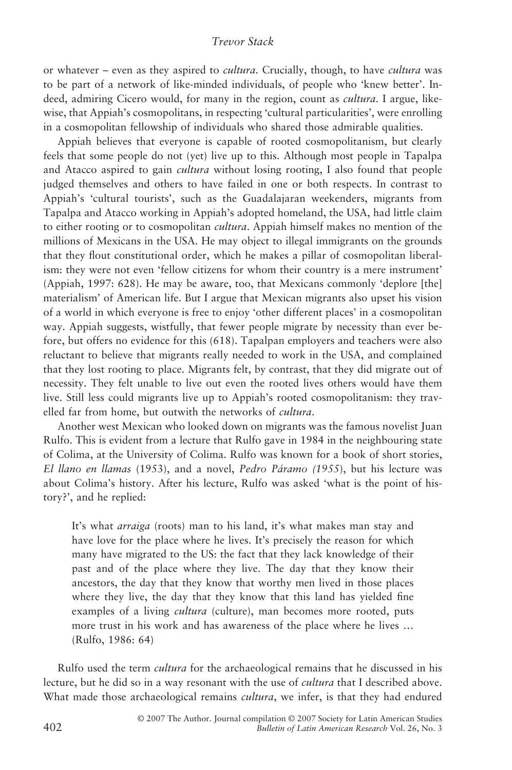or whatever –even as they aspired to *cultura*. Crucially, though, to have *cultura* was to be part of a network of like-minded individuals, of people who 'knew better'. Indeed, admiring Cicero would, for many in the region, count as *cultura*. I argue, likewise, that Appiah's cosmopolitans, in respecting 'cultural particularities', were enrolling in a cosmopolitan fellowship of individuals who shared those admirable qualities.

Appiah believes that everyone is capable of rooted cosmopolitanism, but clearly feels that some people do not (yet) live up to this. Although most people in Tapalpa and Atacco aspired to gain *cultura* without losing rooting, I also found that people judged themselves and others to have failed in one or both respects. In contrast to Appiah's 'cultural tourists', such as the Guadalajaran weekenders, migrants from Tapalpa and Atacco working in Appiah's adopted homeland, the USA, had little claim to either rooting or to cosmopolitan *cultura*. Appiah himself makes no mention of the millions of Mexicans in the USA. He may object to illegal immigrants on the grounds that they flout constitutional order, which he makes a pillar of cosmopolitan liberalism: they were not even 'fellow citizens for whom their country is a mere instrument' (Appiah, 1997: 628). He may be aware, too, that Mexicans commonly 'deplore [the] materialism 'of American life. But I argue that Mexican migrants also upset his vision of a world in which everyone is free to enjoy 'other different places' in a cosmopolitan way. Appiah suggests, wistfully, that fewer people migrate by necessity than ever before, but offers no evidence for this (618). Tapalpan employers and teachers were also reluctant to believe that migrants really needed to work in the USA, and complained that they lost rooting to place. Migrants felt, by contrast, that they did migrate out of necessity. They felt unable to live out even the rooted lives others would have them live. Still less could migrants live up to Appiah's rooted cosmopolitanism: they travelled far from home, but outwith the networks of *cultura*.

Another west Mexican who looked down on migrants was the famous novelist Juan Rulfo. This is evident from a lecture that Rulfogave in 1984 in the neighbouring state of Colima, at the University of Colima. Rulfowas known for a book of short stories, *El llano en llamas* (1953), and a novel, *Pedro Páramo (1955*), but his lecture was about Colima's history. After his lecture, Rulfo was asked 'what is the point of history?', and he replied:

It's what *arraiga* (roots) man to his land, it's what makes man stay and have love for the place where he lives. It's precisely the reason for which many have migrated to the US: the fact that they lack knowledge of their past and of the place where they live. The day that they know their ancestors, the day that they know that worthy men lived in those places where they live, the day that they know that this land has yielded fine examples of a living *cultura* (culture), man becomes more rooted, puts more trust in his work and has awareness of the place where he lives … (Rulfo, 1986: 64)

Rulfoused the term *cultura* for the archaeological remains that he discussed in his lecture, but he did so in a way resonant with the use of *cultura* that I described above. What made those archaeological remains *cultura*, we infer, is that they had endured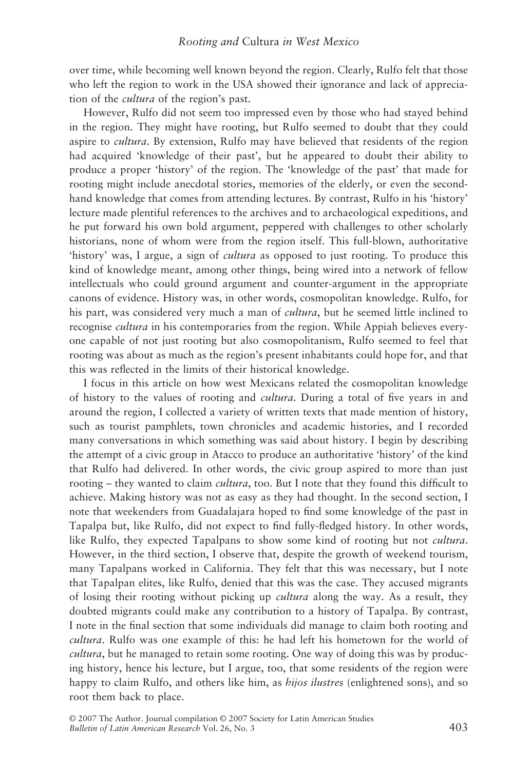over time, while becoming well known beyond the region. Clearly, Rulfo felt that those who left the region to work in the USA showed their ignorance and lack of appreciation of the *cultura* of the region's past.

However, Rulfo did not seem too impressed even by those who had stayed behind in the region. They might have rooting, but Rulfo seemed to doubt that they could aspire to *cultura*. By extension, Rulfo may have believed that residents of the region had acquired 'knowledge of their past', but he appeared to doubt their ability to produce a proper 'history' of the region. The 'knowledge of the past' that made for rooting might include anecdotal stories, memories of the elderly, or even the secondhand knowledge that comes from attending lectures. By contrast, Rulfo in his 'history' lecture made plentiful references to the archives and to archaeological expeditions, and he put forward his own bold argument, peppered with challenges to other scholarly historians, none of whom were from the region itself. This full-blown, authoritative ' history 'was, I argue, a sign of *cultura* as opposed to just rooting. To produce this kind of knowledge meant, among other things, being wired into a network of fellow intellectuals who could ground argument and counter-argument in the appropriate canons of evidence. History was, in other words, cosmopolitan knowledge. Rulfo, for his part, was considered very much a man of *cultura*, but he seemed little inclined to recognise *cultura* in his contemporaries from the region. While Appiah believes everyone capable of not just rooting but also cosmopolitanism, Rulfoseemed to feel that rooting was about as much as the region's present inhabitants could hope for, and that this was reflected in the limits of their historical knowledge.

I focus in this article on how west Mexicans related the cosmopolitan knowledge of history to the values of rooting and *cultura*. During a total of five years in and around the region, I collected a variety of written texts that made mention of history, such as tourist pamphlets, town chronicles and academic histories, and I recorded many conversations in which something was said about history. I begin by describing the attempt of a civic group in Atacco to produce an authoritative ' history 'of the kind that Rulfo had delivered. In other words, the civic group aspired to more than just rooting – they wanted to claim *cultura*, too. But I note that they found this difficult to achieve. Making history was not as easy as they had thought. In the second section, I note that weekenders from Guadalajara hoped to find some knowledge of the past in Tapalpa but, like Rulfo, did not expect to find fully-fledged history. In other words, like Rulfo, they expected Tapalpans to show some kind of rooting but not *cultura*. However, in the third section, I observe that, despite the growth of weekend tourism, many Tapalpans worked in California. They felt that this was necessary, but I note that Tapalpan elites, like Rulfo, denied that this was the case. They accused migrants of losing their rooting without picking up *cultura* along the way. As a result, they doubted migrants could make any contribution to a history of Tapalpa. By contrast, I note in the final section that some individuals did manage to claim both rooting and *cultura*. Rulfowas one example of this: he had left his hometown for the world of *cultura*, but he managed to retain some rooting. One way of doing this was by producing history, hence his lecture, but I argue, too, that some residents of the region were happy to claim Rulfo, and others like him, as *hijos ilustres* (enlightened sons), and so root them back to place.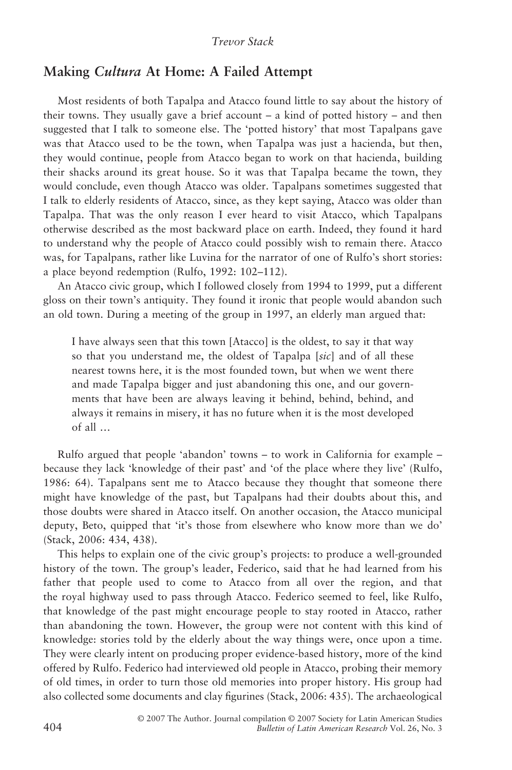### **Making** *Cultura* **At Home: A Failed Attempt**

Most residents of both Tapalpa and Atacco found little to say about the history of their towns. They usually gave a brief account  $-$  a kind of potted history  $-$  and then suggested that I talk to someone else. The 'potted history' that most Tapalpans gave was that Atacco used to be the town, when Tapalpa was just a hacienda, but then, they would continue, people from Atacco began to work on that hacienda, building their shacks around its great house. So it was that Tapalpa became the town, they would conclude, even though Atacco was older. Tapalpans sometimes suggested that I talk to elderly residents of Atacco, since, as they kept saying, Atacco was older than Tapalpa. That was the only reason I ever heard to visit Atacco, which Tapalpans otherwise described as the most backward place on earth. Indeed, they found it hard to understand why the people of Atacco could possibly wish to remain there. Atacco was, for Tapalpans, rather like Luvina for the narrator of one of Rulfo's short stories: a place beyond redemption (Rulfo, 1992: 102-112).

An Atacco civic group, which I followed closely from 1994 to 1999, put a different gloss on their town's antiquity. They found it ironic that people would abandon such an old town. During a meeting of the group in 1997, an elderly man argued that:

I have always seen that this town [Atacco] is the oldest, to say it that way so that you understand me, the oldest of Tapalpa [ *sic*] and of all these nearest towns here, it is the most founded town, but when we went there and made Tapalpa bigger and just abandoning this one, and our governments that have been are always leaving it behind, behind, behind, and always it remains in misery, it has no future when it is the most developed of all …

Rulfo argued that people 'abandon' towns – to work in California for example – because they lack 'knowledge of their past' and 'of the place where they live' (Rulfo, 1986: 64). Tapalpans sent me to Atacco because they thought that someone there might have knowledge of the past, but Tapalpans had their doubts about this, and those doubts were shared in Atacco itself. On another occasion, the Atacco municipal deputy, Beto, quipped that 'it's those from elsewhere who know more than we do' (Stack, 2006: 434, 438).

This helps to explain one of the civic group's projects: to produce a well-grounded history of the town. The group's leader, Federico, said that he had learned from his father that people used to come to Atacco from all over the region, and that the royal highway used to pass through Atacco. Federico seemed to feel, like Rulfo, that knowledge of the past might encourage people to stay rooted in Atacco, rather than abandoning the town. However, the group were not content with this kind of knowledge: stories told by the elderly about the way things were, once upon a time. They were clearly intent on producing proper evidence-based history, more of the kind offered by Rulfo. Federico had interviewed old people in Atacco, probing their memory of old times, in order to turn those old memories into proper history. His group had also collected some documents and clay figurines (Stack, 2006: 435). The archaeological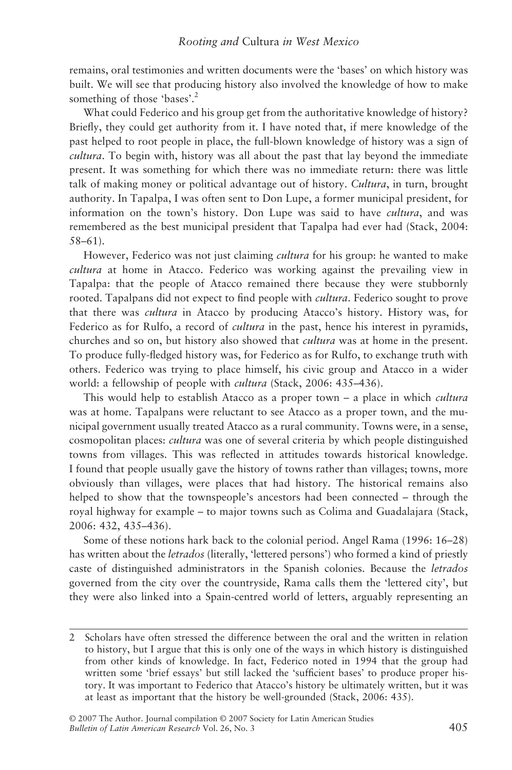remains, oral testimonies and written documents were the 'bases' on which history was built. We will see that producing history also involved the knowledge of how to make something of those 'bases'.<sup>2</sup>

What could Federico and his group get from the authoritative knowledge of history? Briefly, they could get authority from it. I have noted that, if mere knowledge of the past helped to root people in place, the full-blown knowledge of history was a sign of *cultura*. To begin with, history was all about the past that lay beyond the immediate present. It was something for which there was no immediate return: there was little talk of making money or political advantage out of history. *Cultura*, in turn, brought authority. In Tapalpa, I was often sent to Don Lupe, a former municipal president, for information on the town's history. Don Lupe was said to have *cultura*, and was remembered as the best municipal president that Tapalpa had ever had (Stack, 2004:  $58 - 61$ .

However, Federico was not just claiming *cultura* for his group: he wanted to make *cultura* at home in Atacco. Federico was working against the prevailing view in Tapalpa: that the people of Atacco remained there because they were stubbornly rooted. Tapalpans did not expect to find people with *cultura*. Federico sought to prove that there was *cultura* in Atacco by producing Atacco's history. History was, for Federico as for Rulfo, a record of *cultura* in the past, hence his interest in pyramids, churches and so on, but history also showed that *cultura* was at home in the present. To produce fully-fledged history was, for Federico as for Rulfo, to exchange truth with others. Federico was trying to place himself, his civic group and Atacco in a wider world: a fellowship of people with *cultura* (Stack, 2006: 435–436).

This would help to establish Atacco as a proper town –a place in which *cultura* was at home. Tapalpans were reluctant to see Atacco as a proper town, and the municipal government usually treated Atacco as a rural community. Towns were, in a sense, cosmopolitan places: *cultura* was one of several criteria by which people distinguished towns from villages. This was reflected in attitudes towards historical knowledge. I found that people usually gave the history of towns rather than villages; towns, more obviously than villages, were places that had history. The historical remains also helped to show that the townspeople's ancestors had been connected – through the royal highway for example – to major towns such as Colima and Guadalajara (Stack, 2006: 432, 435-436).

Some of these notions hark back to the colonial period. Angel Rama (1996: 16–28) has written about the *letrados* (literally, 'lettered persons') who formed a kind of priestly caste of distinguished administrators in the Spanish colonies. Because the *letrados* governed from the city over the countryside, Rama calls them the 'lettered city', but they were also linked into a Spain-centred world of letters, arguably representing an

<sup>2</sup> Scholars have often stressed the difference between the oral and the written in relation to history, but I argue that this is only one of the ways in which history is distinguished from other kinds of knowledge. In fact, Federico noted in 1994 that the group had written some 'brief essays' but still lacked the 'sufficient bases' to produce proper history. It was important to Federico that Atacco's history be ultimately written, but it was at least as important that the history be well-grounded (Stack, 2006: 435).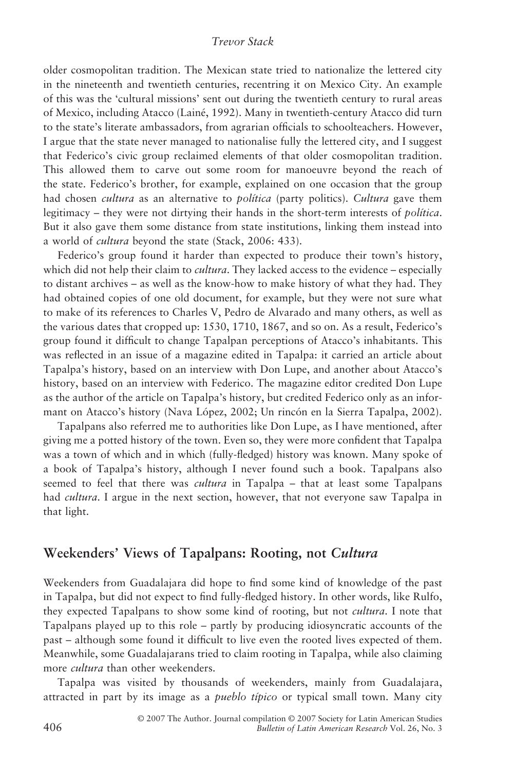older cosmopolitan tradition. The Mexican state tried to nationalize the lettered city in the nineteenth and twentieth centuries, recentring it on Mexico City. An example of this was the 'cultural missions' sent out during the twentieth century to rural areas of Mexico, including Atacco ( Lainé, 1992 ). Many in twentieth-century Atacco did turn to the state's literate ambassadors, from agrarian officials to schoolteachers. However, I argue that the state never managed to nationalise fully the lettered city, and I suggest that Federico's civic group reclaimed elements of that older cosmopolitan tradition. This allowed them to carve out some room for manoeuvre beyond the reach of the state. Federico's brother, for example, explained on one occasion that the group had chosen *cultura* as an alternative to *política* (party politics). *Cultura* gave them legitimacy – they were not dirtying their hands in the short-term interests of *política*. But it also gave them some distance from state institutions, linking them instead into a world of *cultura* beyond the state (Stack, 2006: 433).

Federico's group found it harder than expected to produce their town's history, which did not help their claim to *cultura*. They lacked access to the evidence – especially to distant archives – as well as the know-how to make history of what they had. They had obtained copies of one old document, for example, but they were not sure what to make of its references to Charles V, Pedro de Alvarado and many others, as well as the various dates that cropped up: 1530, 1710, 1867, and so on. As a result, Federico's group found it difficult to change Tapalpan perceptions of Atacco's inhabitants. This was reflected in an issue of a magazine edited in Tapalpa: it carried an article about Tapalpa's history, based on an interview with Don Lupe, and another about Atacco's history, based on an interview with Federico. The magazine editor credited Don Lupe as the author of the article on Tapalpa's history, but credited Federico only as an informant on Atacco's history (Nava López, 2002; Un rincón en la Sierra Tapalpa, 2002).

Tapalpans also referred me to authorities like Don Lupe, as I have mentioned, after giving me a potted history of the town. Even so, they were more confident that Tapalpa was a town of which and in which (fully-fledged) history was known. Many spoke of a book of Tapalpa's history, although I never found such a book. Tapalpans also seemed to feel that there was *cultura* in Tapalpa – that at least some Tapalpans had *cultura*. I argue in the next section, however, that not everyone saw Tapalpa in that light.

# Weekenders' Views of Tapalpans: Rooting, not *Cultura*

Weekenders from Guadalajara did hope to find some kind of knowledge of the past in Tapalpa, but did not expect to find fully-fledged history. In other words, like Rulfo, they expected Tapalpans to show some kind of rooting, but not *cultura*. I note that Tapalpans played up to this role – partly by producing idiosyncratic accounts of the past – although some found it difficult to live even the rooted lives expected of them. Meanwhile, some Guadalajarans tried to claim rooting in Tapalpa, while also claiming more *cultura* than other weekenders.

Tapalpa was visited by thousands of weekenders, mainly from Guadalajara, attracted in part by its image as a *pueblo típico* or typical small town. Many city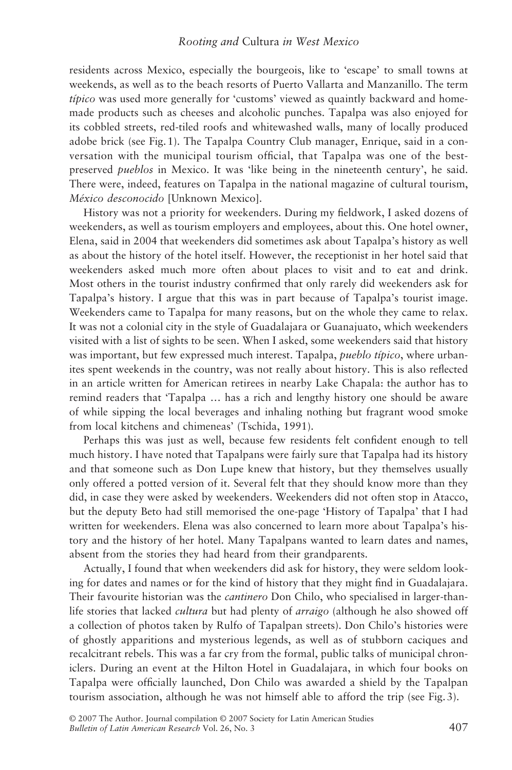residents across Mexico, especially the bourgeois, like to 'escape' to small towns at weekends, as well as to the beach resorts of Puerto Vallarta and Manzanillo. The term *típico* was used more generally for 'customs' viewed as quaintly backward and homemade products such as cheeses and alcoholic punches. Tapalpa was also enjoyed for its cobbled streets, red-tiled roofs and whitewashed walls, many of locally produced adobe brick (see Fig. 1). The Tapalpa Country Club manager, Enrique, said in a conversation with the municipal tourism official, that Tapalpa was one of the bestpreserved *pueblos* in Mexico. It was 'like being in the nineteenth century', he said. There were, indeed, features on Tapalpa in the national magazine of cultural tourism, *México desconocido* [Unknown Mexico].

History was not a priority for weekenders. During my fieldwork, I asked dozens of weekenders, as well as tourism employers and employees, about this. One hotel owner, Elena, said in 2004 that weekenders did sometimes ask about Tapalpa's history as well as about the history of the hotel itself. However, the receptionist in her hotel said that weekenders asked much more often about places to visit and to eat and drink. Most others in the tourist industry confirmed that only rarely did weekenders ask for Tapalpa's history. I argue that this was in part because of Tapalpa's tourist image. Weekenders came to Tapalpa for many reasons, but on the whole they came to relax. It was not a colonial city in the style of Guadalajara or Guanajuato, which weekenders visited with a list of sights to be seen. When I asked, some weekenders said that history was important, but few expressed much interest. Tapalpa, *pueblo típico*, where urbanites spent weekends in the country, was not really about history. This is also reflected in an article written for American retirees in nearby Lake Chapala: the author has to remind readers that 'Tapalpa ... has a rich and lengthy history one should be aware of while sipping the local beverages and inhaling nothing but fragrant wood smoke from local kitchens and chimeneas' (Tschida, 1991).

Perhaps this was just as well, because few residents felt confident enough to tell much history. I have noted that Tapalpans were fairly sure that Tapalpa had its history and that someone such as Don Lupe knew that history, but they themselves usually only offered a potted version of it. Several felt that they should know more than they did, in case they were asked by weekenders. Weekenders did not often stop in Atacco, but the deputy Beto had still memorised the one-page 'History of Tapalpa' that I had written for weekenders. Elena was also concerned to learn more about Tapalpa's history and the history of her hotel. Many Tapalpans wanted to learn dates and names, absent from the stories they had heard from their grandparents.

Actually, I found that when weekenders did ask for history, they were seldom looking for dates and names or for the kind of history that they might find in Guadalajara. Their favourite historian was the *cantinero* Don Chilo, who specialised in larger-thanlife stories that lacked *cultura* but had plenty of *arraigo* (although he also showed off a collection of photos taken by Rulfo of Tapalpan streets). Don Chilo's histories were of ghostly apparitions and mysterious legends, as well as of stubborn caciques and recalcitrant rebels. This was a far cry from the formal, public talks of municipal chroniclers. During an event at the Hilton Hotel in Guadalajara, in which four books on Tapalpa were officially launched, Don Chilo was awarded a shield by the Tapalpan tourism association, although he was not himself able to afford the trip (see Fig. 3).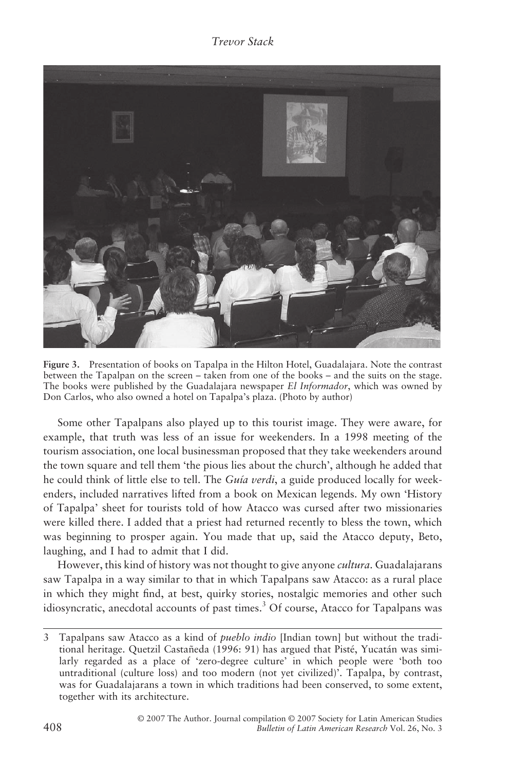

**Figure 3.** Presentation of books on Tapalpa in the Hilton Hotel, Guadalajara. Note the contrast between the Tapalpan on the screen – taken from one of the books – and the suits on the stage. The books were published by the Guadalajara newspaper *El Informador*, which was owned by Don Carlos, who also owned a hotel on Tapalpa's plaza. (Photo by author)

Some other Tapalpans also played up to this tourist image. They were aware, for example, that truth was less of an issue for weekenders. In a 1998 meeting of the tourism association, one local businessman proposed that they take weekenders around the town square and tell them 'the pious lies about the church', although he added that he could think of little else to tell. The *Guía verdi*, a guide produced locally for weekenders, included narratives lifted from a book on Mexican legends. My own ' History of Tapalpa' sheet for tourists told of how Atacco was cursed after two missionaries were killed there. I added that a priest had returned recently to bless the town, which was beginning to prosper again. You made that up, said the Atacco deputy, Beto, laughing, and I had to admit that I did.

However, this kind of history was not thought to give anyone *cultura*. Guadalajarans saw Tapalpa in a way similar to that in which Tapalpans saw Atacco: as a rural place in which they might find, at best, quirky stories, nostalgic memories and other such idiosyncratic, anecdotal accounts of past times.<sup>3</sup> Of course, Atacco for Tapalpans was

<sup>3</sup> Tapalpans saw Atacco as a kind of *pueblo indio* [Indian town] but without the traditional heritage. Quetzil Castañeda (1996: 91) has argued that Pisté, Yucatán was similarly regarded as a place of 'zero-degree culture' in which people were 'both too untraditional (culture loss) and too modern (not yet civilized)'. Tapalpa, by contrast, was for Guadalajarans a town in which traditions had been conserved, to some extent, together with its architecture.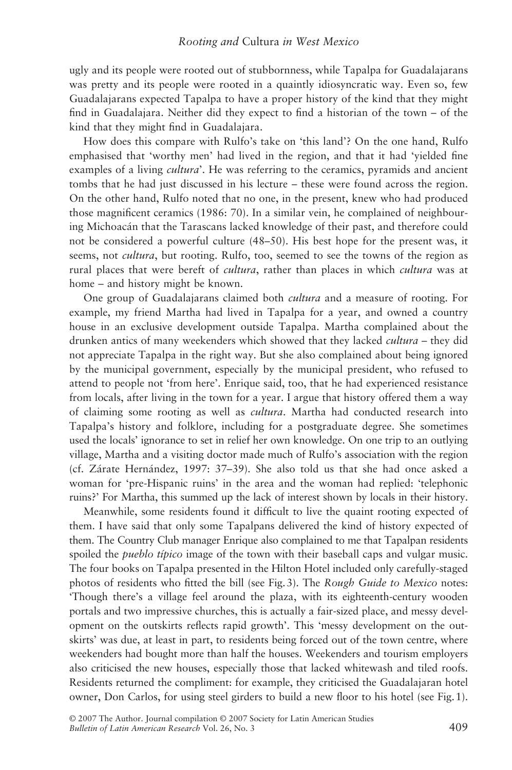ugly and its people were rooted out of stubbornness, while Tapalpa for Guadalajarans was pretty and its people were rooted in a quaintly idiosyncratic way. Even so, few Guadalajarans expected Tapalpa to have a proper history of the kind that they might find in Guadalajara. Neither did they expect to find a historian of the town  $-$  of the kind that they might find in Guadalajara.

How does this compare with Rulfo's take on 'this land'? On the one hand, Rulfo emphasised that 'worthy men' had lived in the region, and that it had 'vielded fine examples of a living *cultura*'. He was referring to the ceramics, pyramids and ancient tombs that he had just discussed in his lecture – these were found across the region. On the other hand, Rulfonoted that no one, in the present, knew who had produced those magnificent ceramics (1986: 70). In a similar vein, he complained of neighbouring Michoacán that the Tarascans lacked knowledge of their past, and therefore could not be considered a powerful culture (48–50). His best hope for the present was, it seems, not *cultura*, but rooting. Rulfo, too, seemed to see the towns of the region as rural places that were bereft of *cultura*, rather than places in which *cultura* was at home – and history might be known.

One group of Guadalajarans claimed both *cultura* and a measure of rooting. For example, my friend Martha had lived in Tapalpa for a year, and owned a country house in an exclusive development outside Tapalpa. Martha complained about the drunken antics of many weekenders which showed that they lacked *cultura* –they did not appreciate Tapalpa in the right way. But she also complained about being ignored by the municipal government, especially by the municipal president, who refused to attend to people not 'from here'. Enrique said, too, that he had experienced resistance from locals, after living in the town for a year. I argue that history offered them a way of claiming some rooting as well as *cultura*. Martha had conducted research into Tapalpa's history and folklore, including for a postgraduate degree. She sometimes used the locals 'ignorance to set in relief her own knowledge. On one trip to an outlying village, Martha and a visiting doctor made much of Rulfo's association with the region (cf. Zárate Hernández, 1997:  $37-39$ ). She also told us that she had once asked a woman for 'pre-Hispanic ruins' in the area and the woman had replied: 'telephonic ruins?' For Martha, this summed up the lack of interest shown by locals in their history.

Meanwhile, some residents found it difficult to live the quaint rooting expected of them. I have said that only some Tapalpans delivered the kind of history expected of them. The Country Club manager Enrique also complained to me that Tapalpan residents spoiled the *pueblo típico* image of the town with their baseball caps and vulgar music. The four books on Tapalpa presented in the Hilton Hotel included only carefully-staged photos of residents who fitted the bill (see Fig. 3). The *Rough Guide to Mexico* notes: 'Though there's a village feel around the plaza, with its eighteenth-century wooden portals and two impressive churches, this is actually a fair-sized place, and messy development on the outskirts reflects rapid growth'. This 'messy development on the outskirts' was due, at least in part, to residents being forced out of the town centre, where weekenders had bought more than half the houses. Weekenders and tourism employers also criticised the new houses, especially those that lacked whitewash and tiled roofs. Residents returned the compliment: for example, they criticised the Guadalajaran hotel owner, Don Carlos, for using steel girders to build a new floor to his hotel (see Fig. 1).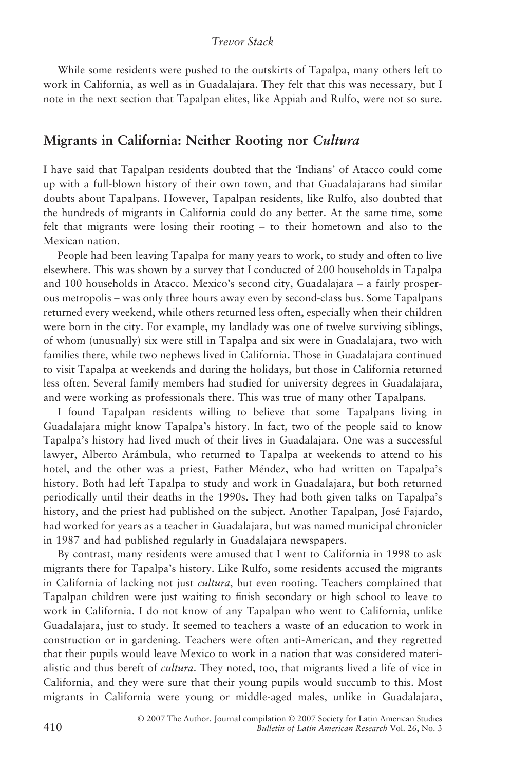While some residents were pushed to the outskirts of Tapalpa, many others left to work in California, as well as in Guadalajara. They felt that this was necessary, but I note in the next section that Tapalpan elites, like Appiah and Rulfo, were not so sure.

# **Migrants in California: Neither Rooting nor** *Cultura*

I have said that Tapalpan residents doubted that the ' Indians 'of Atacco could come up with a full-blown history of their own town, and that Guadalajarans had similar doubts about Tapalpans. However, Tapalpan residents, like Rulfo, also doubted that the hundreds of migrants in California could do any better. At the same time, some felt that migrants were losing their rooting – to their hometown and also to the Mexican nation.

People had been leaving Tapalpa for many years to work, to study and often to live elsewhere. This was shown by a survey that I conducted of 200 households in Tapalpa and  $100$  households in Atacco. Mexico's second city, Guadalajara – a fairly prosperous metropolis - was only three hours away even by second-class bus. Some Tapalpans returned every weekend, while others returned less often, especially when their children were born in the city. For example, my landlady was one of twelve surviving siblings, of whom (unusually) six were still in Tapalpa and six were in Guadalajara, two with families there, while two nephews lived in California. Those in Guadalajara continued to visit Tapalpa at weekends and during the holidays, but those in California returned less often. Several family members had studied for university degrees in Guadalajara, and were working as professionals there. This was true of many other Tapalpans.

I found Tapalpan residents willing to believe that some Tapalpans living in Guadalajara might know Tapalpa's history. In fact, two of the people said to know Tapalpa's history had lived much of their lives in Guadalajara. One was a successful lawyer, Alberto Arámbula, who returned to Tapalpa at weekends to attend to his hotel, and the other was a priest, Father Méndez, who had written on Tapalpa's history. Both had left Tapalpa to study and work in Guadalajara, but both returned periodically until their deaths in the 1990s. They had both given talks on Tapalpa's history, and the priest had published on the subject. Another Tapalpan, José Fajardo, had worked for years as a teacher in Guadalajara, but was named municipal chronicler in 1987 and had published regularly in Guadalajara newspapers.

By contrast, many residents were amused that I went to California in 1998 to ask migrants there for Tapalpa's history. Like Rulfo, some residents accused the migrants in California of lacking not just *cultura*, but even rooting. Teachers complained that Tapalpan children were just waiting to finish secondary or high school to leave to work in California. I do not know of any Tapalpan who went to California, unlike Guadalajara, just to study. It seemed to teachers a waste of an education to work in construction or in gardening. Teachers were often anti-American, and they regretted that their pupils would leave Mexico to work in a nation that was considered materialistic and thus bereft of *cultura*. They noted, too, that migrants lived a life of vice in California, and they were sure that their young pupils would succumb to this. Most migrants in California were young or middle-aged males, unlike in Guadalajara,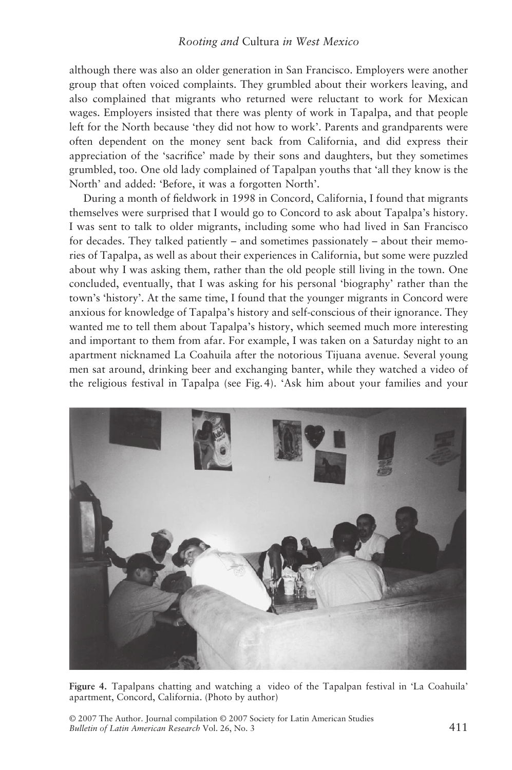#### *Rooting and* Cultura *in West Mexico*

although there was also an older generation in San Francisco. Employers were another group that often voiced complaints. They grumbled about their workers leaving, and also complained that migrants who returned were reluctant to work for Mexican wages. Employers insisted that there was plenty of work in Tapalpa, and that people left for the North because 'they did not how to work'. Parents and grandparents were often dependent on the money sent back from California, and did express their appreciation of the 'sacrifice' made by their sons and daughters, but they sometimes grumbled, too. One old lady complained of Tapalpan youths that ' all they know is the North' and added: 'Before, it was a forgotten North'.

During a month of fieldwork in 1998 in Concord, California, I found that migrants themselves were surprised that I would go to Concord to ask about Tapalpa's history. I was sent to talk to older migrants, including some who had lived in San Francisco for decades. They talked patiently – and sometimes passionately – about their memories of Tapalpa, as well as about their experiences in California, but some were puzzled about why I was asking them, rather than the old people still living in the town. One concluded, eventually, that I was asking for his personal 'biography' rather than the town's 'history'. At the same time, I found that the younger migrants in Concord were anxious for knowledge of Tapalpa's history and self-conscious of their ignorance. They wanted me to tell them about Tapalpa's history, which seemed much more interesting and important to them from afar. For example, I was taken on a Saturday night to an apartment nicknamed La Coahuila after the notorious Tijuana avenue. Several young men sat around, drinking beer and exchanging banter, while they watched a video of the religious festival in Tapalpa (see Fig. 4). ' Ask him about your families and your



Figure 4. Tapalpans chatting and watching a video of the Tapalpan festival in 'La Coahuila' apartment, Concord, California. (Photo by author)

© 2007 The Author. Journal compilation © 2007 Society for Latin American Studies *Bulletin of Latin American Research* Vol. 26, No. 3 411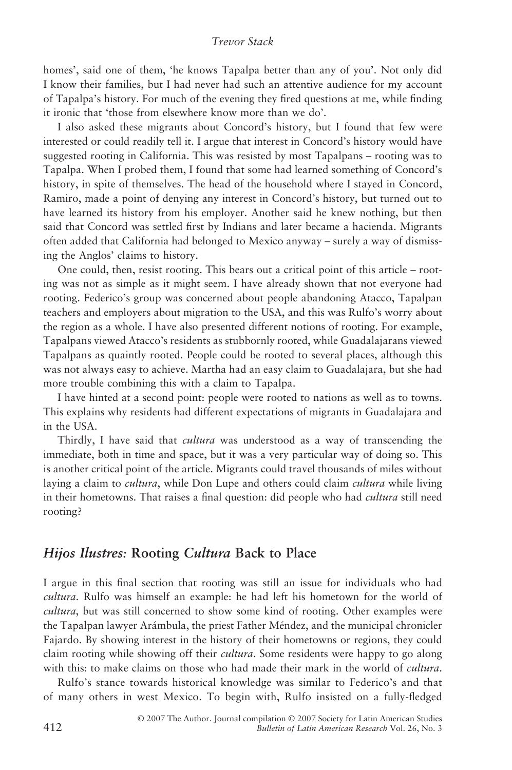homes', said one of them, 'he knows Tapalpa better than any of you'. Not only did I know their families, but I had never had such an attentive audience for my account of Tapalpa's history. For much of the evening they fired questions at me, while finding it ironic that 'those from elsewhere know more than we do'.

I also asked these migrants about Concord's history, but I found that few were interested or could readily tell it. I argue that interest in Concord's history would have suggested rooting in California. This was resisted by most Tapalpans – rooting was to Tapalpa. When I probed them, I found that some had learned something of Concord's history, in spite of themselves. The head of the household where I stayed in Concord, Ramiro, made a point of denying any interest in Concord's history, but turned out to have learned its history from his employer. Another said he knew nothing, but then said that Concord was settled first by Indians and later became a hacienda. Migrants often added that California had belonged to Mexico anyway –surely a way of dismissing the Anglos' claims to history.

One could, then, resist rooting. This bears out a critical point of this article – rooting was not as simple as it might seem. I have already shown that not everyone had rooting. Federico's group was concerned about people abandoning Atacco, Tapalpan teachers and employers about migration to the USA, and this was Rulfo's worry about the region as a whole. I have also presented different notions of rooting. For example, Tapalpans viewed Atacco's residents as stubbornly rooted, while Guadalajarans viewed Tapalpans as quaintly rooted. People could be rooted to several places, although this was not always easy to achieve. Martha had an easy claim to Guadalajara, but she had more trouble combining this with a claim to Tapalpa.

I have hinted at a second point: people were rooted to nations as well as to towns. This explains why residents had different expectations of migrants in Guadalajara and in the USA.

Thirdly, I have said that *cultura* was understood as a way of transcending the immediate, both in time and space, but it was a very particular way of doing so. This is another critical point of the article. Migrants could travel thousands of miles without laying a claim to *cultura*, while Don Lupe and others could claim *cultura* while living in their hometowns. That raises a final question: did people who had *cultura* still need rooting?

#### *Hijos Ilustres:* **Rooting** *Cultura* **Back to Place**

I argue in this final section that rooting was still an issue for individuals who had *cultura*. Rulfowas himself an example: he had left his hometown for the world of *cultura*, but was still concerned to show some kind of rooting. Other examples were the Tapalpan lawyer Arámbula, the priest Father Méndez, and the municipal chronicler Fajardo. By showing interest in the history of their hometowns or regions, they could claim rooting while showing off their *cultura*. Some residents were happy to go along with this: to make claims on those who had made their mark in the world of *cultura*.

Rulfo's stance towards historical knowledge was similar to Federico's and that of many others in west Mexico. To begin with, Rulfo insisted on a fully-fledged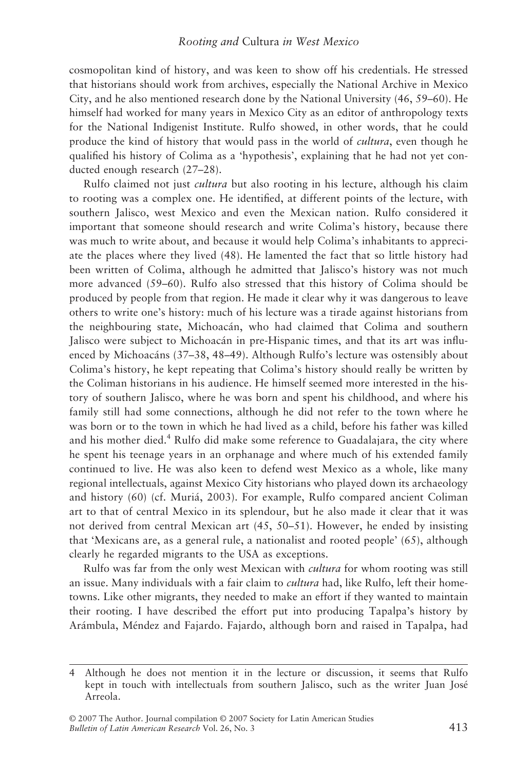cosmopolitan kind of history, and was keen to show off his credentials. He stressed that historians should work from archives, especially the National Archive in Mexico City, and he also mentioned research done by the National University  $(46, 59-60)$ . He himself had worked for many years in Mexico City as an editor of anthropology texts for the National Indigenist Institute. Rulfo showed, in other words, that he could produce the kind of history that would pass in the world of *cultura*, even though he qualified his history of Colima as a 'hypothesis', explaining that he had not yet conducted enough research (27–28).

Rulfo claimed not just *cultura* but also rooting in his lecture, although his claim to rooting was a complex one. He identified, at different points of the lecture, with southern Jalisco, west Mexico and even the Mexican nation. Rulfo considered it important that someone should research and write Colima's history, because there was much to write about, and because it would help Colima's inhabitants to appreciate the places where they lived (48). He lamented the fact that so little history had been written of Colima, although he admitted that Jalisco's history was not much more advanced  $(59-60)$ . Rulfo also stressed that this history of Colima should be produced by people from that region. He made it clear why it was dangerous to leave others to write one's history: much of his lecture was a tirade against historians from the neighbouring state, Michoacán, who had claimed that Colima and southern Jalisco were subject to Michoacán in pre-Hispanic times, and that its art was influenced by Michoacáns (37–38, 48–49). Although Rulfo's lecture was ostensibly about Colima's history, he kept repeating that Colima's history should really be written by the Coliman historians in his audience. He himself seemed more interested in the history of southern Jalisco, where he was born and spent his childhood, and where his family still had some connections, although he did not refer to the town where he was born or to the town in which he had lived as a child, before his father was killed and his mother died.<sup>4</sup> Rulfo did make some reference to Guadalajara, the city where he spent his teenage years in an orphanage and where much of his extended family continued to live. He was also keen to defend west Mexico as a whole, like many regional intellectuals, against Mexico City historians who played down its archaeology and history (60) (cf. Muriá, 2003). For example, Rulfo compared ancient Coliman art to that of central Mexico in its splendour, but he also made it clear that it was not derived from central Mexican art  $(45, 50-51)$ . However, he ended by insisting that 'Mexicans are, as a general rule, a nationalist and rooted people'  $(65)$ , although clearly he regarded migrants to the USA as exceptions.

Rulfowas far from the only west Mexican with *cultura* for whom rooting was still an issue. Many individuals with a fair claim to *cultura* had, like Rulfo, left their hometowns. Like other migrants, they needed to make an effort if they wanted to maintain their rooting. I have described the effort put into producing Tapalpa's history by Arámbula, Méndez and Fajardo. Fajardo, although born and raised in Tapalpa, had

<sup>4</sup> Although he does not mention it in the lecture or discussion, it seems that Rulfo kept in touch with intellectuals from southern Jalisco, such as the writer Juan José Arreola.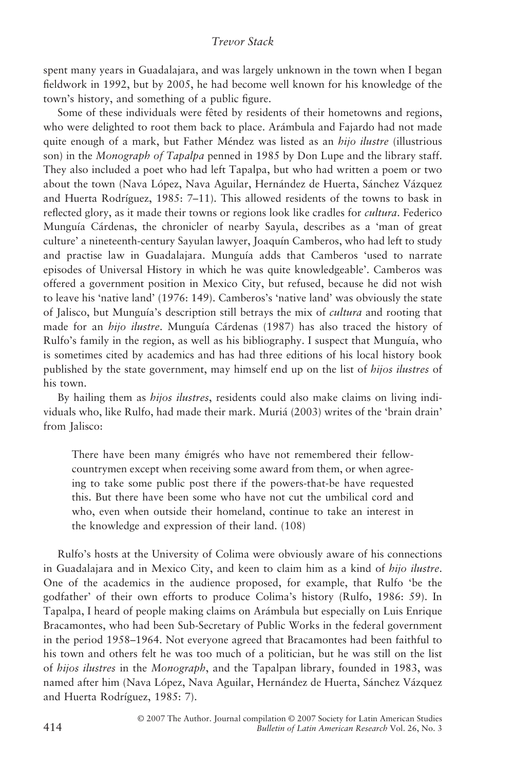spent many years in Guadalajara, and was largely unknown in the town when I began fieldwork in 1992, but by 2005, he had become well known for his knowledge of the town's history, and something of a public figure.

Some of these individuals were fêted by residents of their hometowns and regions, who were delighted to root them back to place. Arámbula and Fajardo had not made quite enough of a mark, but Father Méndez was listed as an *hijo ilustre* (illustrious son) in the *Monograph of Tapalpa* penned in 1985 by Don Lupe and the library staff. They also included a poet who had left Tapalpa, but who had written a poem or two about the town ( Nava López, Nava Aguilar, Hernández de Huerta, Sánchez Vázquez and Huerta Rodríguez,  $1985: 7-11$ ). This allowed residents of the towns to bask in reflected glory, as it made their towns or regions look like cradles for *cultura*. Federico Munguía Cárdenas, the chronicler of nearby Sayula, describes as a 'man of great culture' a nineteenth-century Sayulan lawyer, Joaquín Camberos, who had left to study and practise law in Guadalajara. Munguía adds that Camberos 'used to narrate episodes of Universal History in which he was quite knowledgeable'. Camberos was offered a government position in Mexico City, but refused, because he did not wish to leave his 'native land' (1976: 149). Camberos's 'native land' was obviously the state of Jalisco, but Munguía's description still betrays the mix of *cultura* and rooting that made for an *hijo ilustre*. Munguía Cárdenas (1987) has also traced the history of Rulfo's family in the region, as well as his bibliography. I suspect that Munguía, who is sometimes cited by academics and has had three editions of his local history book published by the state government, may himself end up on the list of *hijos ilustres* of his town.

By hailing them as *hijos ilustres*, residents could also make claims on living individuals who, like Rulfo, had made their mark. Muriá (2003) writes of the 'brain drain' from Jalisco:

There have been many émigrés who have not remembered their fellowcountrymen except when receiving some award from them, or when agreeing to take some public post there if the powers-that-be have requested this. But there have been some who have not cut the umbilical cord and who, even when outside their homeland, continue to take an interest in the knowledge and expression of their land. (108)

Rulfo's hosts at the University of Colima were obviously aware of his connections in Guadalajara and in Mexico City, and keen to claim him as a kind of *hijo ilustre*. One of the academics in the audience proposed, for example, that Rulfo 'be the godfather' of their own efforts to produce Colima's history (Rulfo, 1986: 59). In Tapalpa, I heard of people making claims on Arámbula but especially on Luis Enrique Bracamontes, who had been Sub-Secretary of Public Works in the federal government in the period 1958–1964. Not everyone agreed that Bracamontes had been faithful to his town and others felt he was too much of a politician, but he was still on the list of *hijos ilustres* in the *Monograph*, and the Tapalpan library, founded in 1983, was named after him ( Nava López, Nava Aguilar, Hernández de Huerta, Sánchez Vázquez and Huerta Rodríguez, 1985: 7).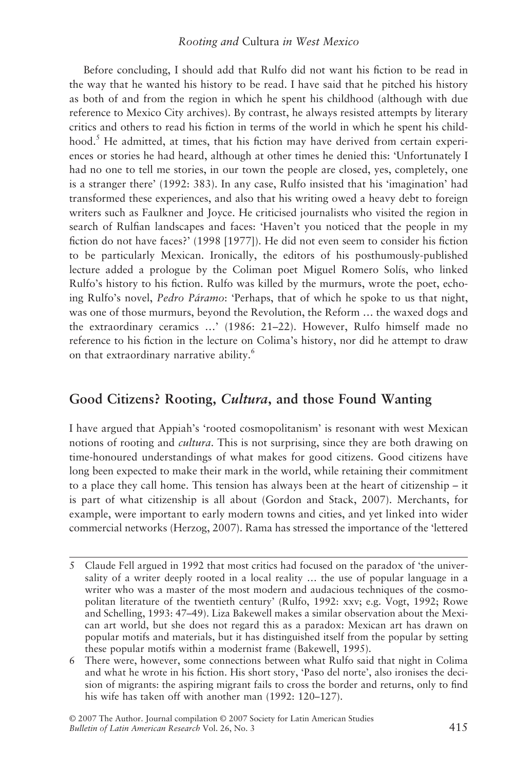#### *Rooting and* Cultura *in West Mexico*

Before concluding, I should add that Rulfo did not want his fiction to be read in the way that he wanted his history to be read. I have said that he pitched his history as both of and from the region in which he spent his childhood (although with due reference to Mexico City archives). By contrast, he always resisted attempts by literary critics and others to read his fiction in terms of the world in which he spent his childhood.<sup>5</sup> He admitted, at times, that his fiction may have derived from certain experiences or stories he had heard, although at other times he denied this: 'Unfortunately I had no one to tell me stories, in our town the people are closed, yes, completely, one is a stranger there' (1992: 383). In any case, Rulfo insisted that his 'imagination' had transformed these experiences, and also that his writing owed a heavy debt to foreign writers such as Faulkner and Joyce. He criticised journalists who visited the region in search of Rulfian landscapes and faces: 'Haven't you noticed that the people in my fiction do not have faces?' (1998 [1977]). He did not even seem to consider his fiction to be particularly Mexican. Ironically, the editors of his posthumously-published lecture added a prologue by the Coliman poet Miguel Romero Solís, who linked Rulfo's history to his fiction. Rulfo was killed by the murmurs, wrote the poet, echoing Rulfo's novel, *Pedro Páramo*: 'Perhaps, that of which he spoke to us that night, was one of those murmurs, beyond the Revolution, the Reform ... the waxed dogs and the extraordinary ceramics ...' (1986: 21-22). However, Rulfo himself made no reference to his fiction in the lecture on Colima's history, nor did he attempt to draw on that extraordinary narrative ability.<sup>6</sup>

## **Good Citizens? Rooting,** *Cultura***, and those Found Wanting**

I have argued that Appiah's 'rooted cosmopolitanism' is resonant with west Mexican notions of rooting and *cultura*. This is not surprising, since they are both drawing on time-honoured understandings of what makes for good citizens. Good citizens have long been expected to make their mark in the world, while retaining their commitment to a place they call home. This tension has always been at the heart of citizenship –it is part of what citizenship is all about (Gordon and Stack, 2007). Merchants, for example, were important to early modern towns and cities, and yet linked into wider commercial networks (Herzog, 2007). Rama has stressed the importance of the 'lettered

<sup>5</sup> Claude Fell argued in 1992 that most critics had focused on the paradox of 'the universality of a writer deeply rooted in a local reality ... the use of popular language in a writer who was a master of the most modern and audacious techniques of the cosmopolitan literature of the twentieth century' (Rulfo, 1992: xxv; e.g. Vogt, 1992; Rowe and Schelling, 1993: 47–49). Liza Bakewell makes a similar observation about the Mexican art world, but she does not regard this as a paradox: Mexican art has drawn on popular motifs and materials, but it has distinguished itself from the popular by setting these popular motifs within a modernist frame (Bakewell, 1995).

<sup>6</sup> There were, however, some connections between what Rulfosaid that night in Colima and what he wrote in his fiction. His short story, 'Paso del norte', also ironises the decision of migrants: the aspiring migrant fails to cross the border and returns, only to find his wife has taken off with another man (1992: 120-127).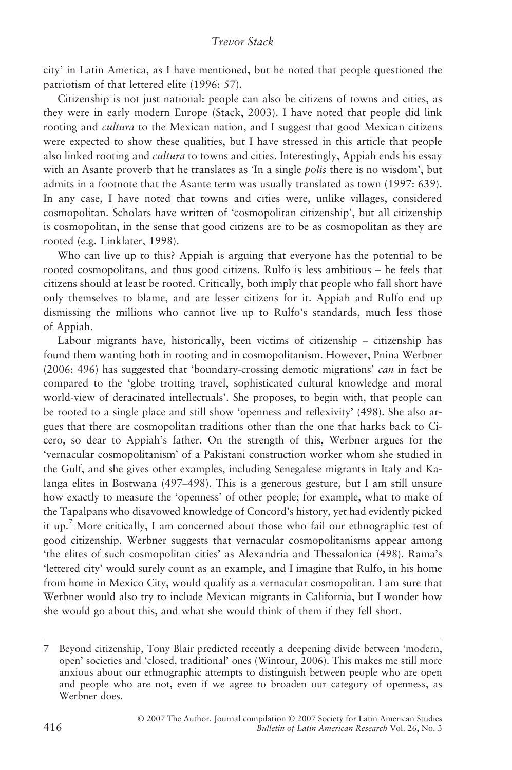city 'in Latin America, as I have mentioned, but he noted that people questioned the patriotism of that lettered elite (1996: 57).

Citizenship is not just national: people can also be citizens of towns and cities, as they were in early modern Europe (Stack, 2003). I have noted that people did link rooting and *cultura* to the Mexican nation, and I suggest that good Mexican citizens were expected to show these qualities, but I have stressed in this article that people also linked rooting and *cultura* to towns and cities. Interestingly, Appiah ends his essay with an Asante proverb that he translates as 'In a single *polis* there is no wisdom', but admits in a footnote that the Asante term was usually translated as town (1997: 639). In any case, I have noted that towns and cities were, unlike villages, considered cosmopolitan. Scholars have written of ' cosmopolitan citizenship ' , but all citizenship is cosmopolitan, in the sense that good citizens are to be as cosmopolitan as they are rooted (e.g. Linklater, 1998).

Who can live up to this? Appiah is arguing that everyone has the potential to be rooted cosmopolitans, and thus good citizens. Rulfo is less ambitious – he feels that citizens should at least be rooted. Critically, both imply that people who fall short have only themselves to blame, and are lesser citizens for it. Appiah and Rulfo end up dismissing the millions who cannot live up to Rulfo's standards, much less those of Appiah.

Labour migrants have, historically, been victims of citizenship – citizenship has found them wanting both in rooting and in cosmopolitanism. However, Pnina Werbner (2006:  $496$ ) has suggested that 'boundary-crossing demotic migrations' *can* in fact be compared to the 'globe trotting travel, sophisticated cultural knowledge and moral world-view of deracinated intellectuals'. She proposes, to begin with, that people can be rooted to a single place and still show 'openness and reflexivity' (498). She also argues that there are cosmopolitan traditions other than the one that harks back to Cicero, so dear to Appiah's father. On the strength of this, Werbner argues for the ' vernacular cosmopolitanism 'of a Pakistani construction worker whom she studied in the Gulf, and she gives other examples, including Senegalese migrants in Italy and Kalanga elites in Bostwana (497–498). This is a generous gesture, but I am still unsure how exactly to measure the 'openness' of other people; for example, what to make of the Tapalpans who disavowed knowledge of Concord's history, yet had evidently picked it up.<sup>7</sup> More critically, I am concerned about those who fail our ethnographic test of good citizenship. Werbner suggests that vernacular cosmopolitanisms appear among 'the elites of such cosmopolitan cities' as Alexandria and Thessalonica (498). Rama's 'lettered city' would surely count as an example, and I imagine that Rulfo, in his home from home in Mexico City, would qualify as a vernacular cosmopolitan. I am sure that Werbner would also try to include Mexican migrants in California, but I wonder how she would go about this, and what she would think of them if they fell short.

<sup>7</sup> Beyond citizenship, Tony Blair predicted recently a deepening divide between ' modern, open' societies and 'closed, traditional' ones (Wintour, 2006). This makes me still more anxious about our ethnographic attempts to distinguish between people who are open and people who are not, even if we agree to broaden our category of openness, as Werbner does.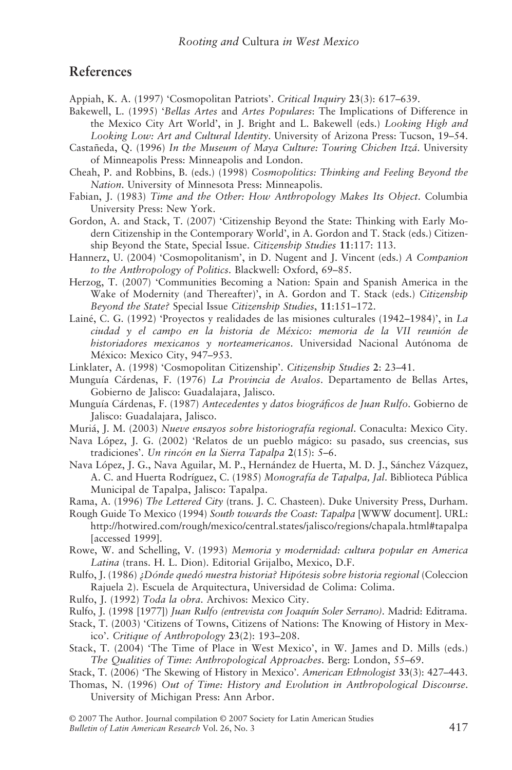# **References**

Appiah, K. A. (1997) 'Cosmopolitan Patriots', Critical Inquiry 23(3): 617–639.

- Bakewell , L . ( 1995 ) ' *Bellas Artes* and *Artes Populares*: The Implications of Difference in the Mexico City Art World', in J. Bright and L. Bakewell (eds.) *Looking High and* Looking Low: Art and Cultural Identity. University of Arizona Press: Tucson, 19-54.
- Castañeda , Q . ( 1996 ) *In the Museum of Maya Culture: Touring Chichen Itzá*. University of Minneapolis Press: Minneapolis and London.
- Cheah, P. and Robbins, B. (eds.) (1998) *Cosmopolitics: Thinking and Feeling Beyond the Nation*. University of Minnesota Press: Minneapolis.
- Fabian, J. (1983) *Time and the Other: How Anthropology Makes Its Object*. Columbia University Press: New York.
- Gordon, A. and Stack, T. (2007) 'Citizenship Beyond the State: Thinking with Early Modern Citizenship in the Contemporary World', in A. Gordon and T. Stack (eds.) Citizenship Beyond the State, Special Issue. *Citizenship Studies* 11:117: 113.
- Hannerz, U. (2004) 'Cosmopolitanism', in D. Nugent and J. Vincent (eds.) *A Companion to the Anthropology of Politics*. Blackwell: Oxford, 69–85.
- Herzog, T. (2007) 'Communities Becoming a Nation: Spain and Spanish America in the Wake of Modernity (and Thereafter)', in A. Gordon and T. Stack (eds.) *Citizenship Beyond the State?* Special Issue *Citizenship Studies*, 11:151-172.
- Lainé, C. G. (1992) 'Proyectos y realidades de las misiones culturales (1942–1984)', in *La ciudad y el campo en la historia de México: memoria de la VII reunión de historiadores mexicanos y norteamericanos*. Universidad Nacional Autónoma de México: Mexico City, 947-953.
- Linklater, A. (1998) 'Cosmopolitan Citizenship'. Citizenship Studies 2: 23-41.
- Munguía Cárdenas , F . ( 1976 ) *La Provincia de Avalos*. Departamento de Bellas Artes, Gobierno de Jalisco: Guadalajara, Jalisco.
- Munguía Cárdenas, F. (1987) *Antecedentes y datos biográficos de Juan Rulfo*. Gobierno de Jalisco: Guadalajara, Jalisco.
- Muriá, J. M. (2003) *Nueve ensayos sobre historiografía regional*. Conaculta: Mexico City.
- Nava López, J. G. (2002) 'Relatos de un pueblo mágico: su pasado, sus creencias, sus tradiciones'. Un rincón en la Sierra Tapalpa 2(15): 5-6.
- Nava López, J. G., Nava Aguilar, M. P., Hernández de Huerta, M. D. J., Sánchez Vázquez, A. C. and Huerta Rodríguez , C . ( 1985 ) *Monografía de Tapalpa, Jal*. Biblioteca Pública Municipal de Tapalpa, Jalisco: Tapalpa.

Rama, A. (1996) *The Lettered City* (trans. J. C. Chasteen). Duke University Press, Durham.

- Rough Guide To Mexico( 1994 ) *South towards the Coast: Tapalpa* [WWW document]. URL : http://hotwired.com/rough/mexico/central.states/jalisco/regions/chapala.html#tapalpa [accessed 1999].
- Rowe, W. and Schelling, V. (1993) *Memoria y modernidad: cultura popular en America* Latina (trans. H. L. Dion). Editorial Grijalbo, Mexico, D.F.
- Rulfo , J . ( 1986 ) *¿Dónde quedó nuestra historia? Hipótesis sobre historia regional* (Coleccion Rajuela 2). Escuela de Arquitectura, Universidad de Colima: Colima.
- Rulfo, J. (1992) *Toda la obra*. Archivos: Mexico City.
- Rulfo, J. (1998 [1977]) *Juan Rulfo (entrevista con Joaquín Soler Serrano)*. Madrid: Editrama.
- Stack, T. (2003) 'Citizens of Towns, Citizens of Nations: The Knowing of History in Mexico'. *Critique of Anthropology* 23(2): 193-208.
- Stack, T. (2004) 'The Time of Place in West Mexico', in W. James and D. Mills (eds.) *The Qualities of Time: Anthropological Approaches. Berg: London, 55-69.*

Stack, T. (2006) 'The Skewing of History in Mexico'. American Ethnologist 33(3): 427-443.

Thomas, N. (1996) *Out of Time: History and Evolution in Anthropological Discourse*. University of Michigan Press: Ann Arbor.

© 2007 The Author. Journal compilation © 2007 Society for Latin American Studies *Bulletin of Latin American Research Vol. 26, No. 3* 417